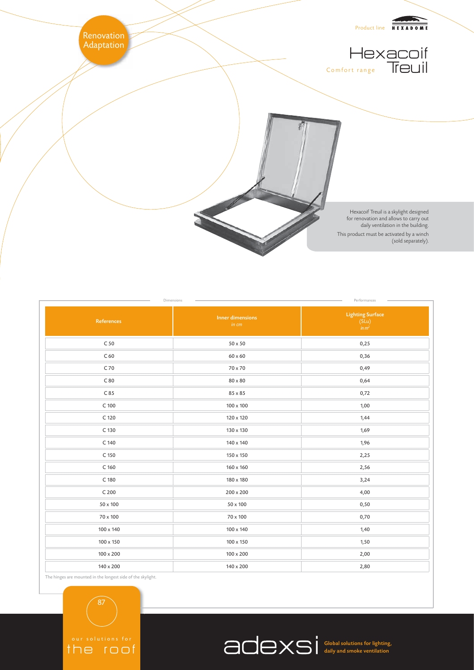

| <b>Lighting Surface</b><br><b>Inner dimensions</b><br>$(SLu)$<br>$in m2$<br>0,25<br>0,36<br>0,49<br>0,64 |
|----------------------------------------------------------------------------------------------------------|
|                                                                                                          |
|                                                                                                          |
|                                                                                                          |
|                                                                                                          |
|                                                                                                          |
| 0,72                                                                                                     |
| $100 \times 100$<br>1,00                                                                                 |
| 120 x 120<br>1,44                                                                                        |
| 130 x 130<br>1,69                                                                                        |
| 1,96<br>140 x 140                                                                                        |
| 150 x 150<br>2,25                                                                                        |
| 160 x 160<br>2,56                                                                                        |
| 180 x 180<br>3,24                                                                                        |
| 200 x 200<br>4,00                                                                                        |
| 0,50                                                                                                     |
| 0,70                                                                                                     |
| 100 x 140<br>1,40                                                                                        |
| 100 x 150<br>1,50                                                                                        |
| 2,00<br>100 x 200                                                                                        |
| 140 x 200<br>2,80                                                                                        |
|                                                                                                          |

Global solutions for lighting, daily and smoke ventilation

the skylight.

87

the roof